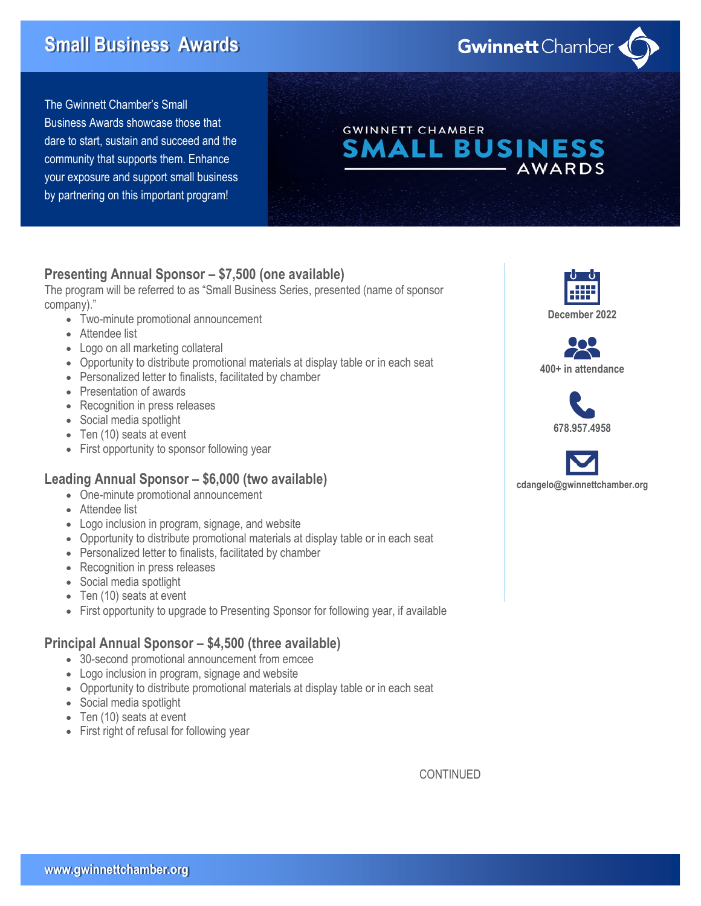# **Small Business Awards**

The Gwinnett Chamber's Small Business Awards showcase those that dare to start, sustain and succeed and the community that supports them. Enhance your exposure and support small business by partnering on this important program!

# **Presenting Annual Sponsor – \$7,500 (one available)**

The program will be referred to as "Small Business Series, presented (name of sponsor company)."

- Two-minute promotional announcement
- Attendee list
- Logo on all marketing collateral
- Opportunity to distribute promotional materials at display table or in each seat
- Personalized letter to finalists, facilitated by chamber
- Presentation of awards
- Recognition in press releases
- Social media spotlight
- Ten (10) seats at event
- First opportunity to sponsor following year

#### **Leading Annual Sponsor – \$6,000 (two available)**

- One-minute promotional announcement
- Attendee list
- Logo inclusion in program, signage, and website
- Opportunity to distribute promotional materials at display table or in each seat
- Personalized letter to finalists, facilitated by chamber
- Recognition in press releases
- Social media spotlight
- Ten (10) seats at event
- First opportunity to upgrade to Presenting Sponsor for following year, if available

# **Principal Annual Sponsor – \$4,500 (three available)**

- 30-second promotional announcement from emcee
- Logo inclusion in program, signage and website
- Opportunity to distribute promotional materials at display table or in each seat
- Social media spotlight
- Ten (10) seats at event
- First right of refusal for following year

**December 2022**

**AWARDS** 





**cdangelo@gwinnettchamber.org**

CONTINUED

**Gwinnett** Chamber

**L BUSINESS** 

**GWINNETT CHAMBER** 

Δ